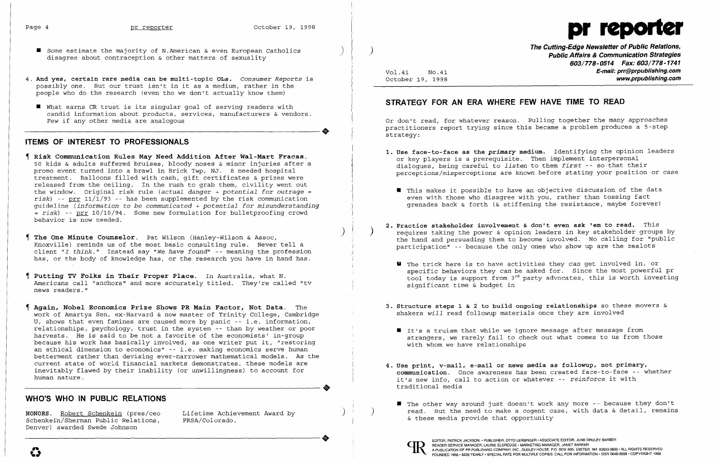$\big)$ 



- Some estimate the majority of N.American & even European Catholics  $\qquad \qquad \qquad \qquad \qquad \qquad \qquad$  disagree about contraception & other matters of sexuality
- 4. **And yes, certain rare media can be multi-topic OLs.** *Consumer Reports* is possibly one. But our trust isn't in it as a medium, rather in the people who do the research (even tho we don't actually know them)
- **U** What earns CR trust is its singular goal of serving readers with candid information about products, services, manufacturers & vendors. ----------------------+ Few if any other media are analogous

### **ITEMS OF INTEREST TO PROFESSIONALS**

- **Risk Communication Rules May Need Addition After Wal-Mart Fracas.**  50 kids & adults suffered bruises, bloody noses & minor injuries after a promo event turned into a brawl in Brick Twp, NJ. 8 needed hospital treatment. Balloons filled with cash, gift certificates & prizes were released from the ceiling. In the rush to grab them, civility went out the window. Original risk rule *(actual danger* + *potential for outrage = risk)* -- prr 11/1/93 -- has been supplemented by the risk communication guideline *(information* to *be communicated* + *potential for misunderstanding*  <sup>=</sup>*risk)* -- prr 10/10/94. Some new formulation for bulletproofing crowd behavior is now needed.
- **The One Minute Counselor.** Pat Wilson (Hanley-Wilson & Assoc, Knoxville) reminds us of the most basic consulting rule. Never tell a client *"I think."* Instead say *"We have* found" -- meaning the profession has, or the body of knowledge has, or the research you have in hand has.
- **Putting TV Folks in Their Proper Place.** In Australia, what N. Americans call "anchors" and more accurately titled. They're called "tv news readers."
- **Again, Nobel Economics Prize Shows PR Main Factor, Not Data.** The work of Amartya Sen, ex-Harvard & now master of Trinity College, Cambridge V, shows that even famines are caused more by panic -- i.e. information, relationships, psychology, trust in the system -- than by weather or poor harvests. He is said to be not a favorite of the economists' in-group because his work has basically involved, as one writer put it, "restoring an ethical dimension to economics" -- i.e. making economics serve human betterment rather than devising ever-narrower mathematical models. As the current state of world financial markets demonstrates, these models are inevitably flawed by their inability (or unwillingness) to account for ----------------------+ human nature.

Or don't read, for whatever reason. Pulling together the many approaches practitioners report trying since this became a problem produces a 5-step strategy:

If This makes it possible to have an objective discussion of the data even with those who disagree with you, rather than tossing fact grenades back & forth (& stiffening the resistance, maybe forever)

requires taking the power & opinion leaders in key stakeholder groups by the hand and persuading them to become involved. No calling for "public

specific behaviors they *can* be asked for. Since the most powerful pr tool today is support from  $3^{rd}$  party advocates, this is worth investing

## **WHO'S WHO IN PUBLIC RELATIONS**

.1 i )

Vol. 41 NO.41 October 19, 1998 **The Cutting-Edge Newsletter of Public Relations, Public Affairs & Communication Strategies**  *603/778-0514 Fax: 603/778-1741*  **E-mail: prr@prpublishing.com www.prpublishing.com** 

# **STRATEGY FOR AN ERA WHERE FEW HAVE TIME TO READ**

**1. Use face-to-face as the** *primary* **medium.** Identifying the opinion leaders perceptions/misperceptions are known before stating your position or case

**HONORS.** Robert Schenkein (pres/ceo Lifetime Achievement Award by Schenkein/Sherman Public Relations, Denver) awarded Swede Johnson ----------------------+ EDITOR, PATRICK JACKSON.' PUBLISHER, OTTO LERBINGER • ASSOCIATE EDITOR, JUNE DRULEY BARBER

- or key players is a prerequisite. Then implement interpersonal dialogues, being careful to *listen* to them *first* -- so that their
	-
- **2. Practice stakeholder involvement & don't even ask 'em to read.** This participation" -- because the only ones who show up are the zealots
	- U The trick here is to have activities they *can* get involved in, or significant time & budget in
- shakers *will* read followup materials once they are involved
	- It's a truism that while we ignore message after message from with whom we have relationships
- it's new info, call to action or whatever -- *reinforce* it with traditional media
	- & these media provide that opportunity )



**3. Structure steps 1** & 2 **to build ongoing relationships** so these movers &

strangers, we rarely fail to check out what comes to us from those

**4. Use print, v-mail, e-mail or news media as followup, not primary, communication.** Once awareness has been created face-to-face -~ whether

■ The other way around just doesn't work any more -- because they don't read. But the need to make a cogent case, with data & detail, remains